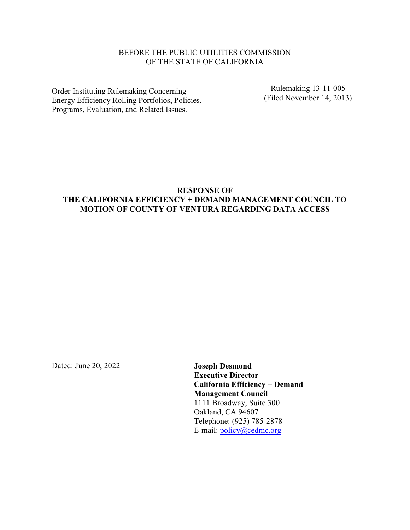# BEFORE THE PUBLIC UTILITIES COMMISSION OF THE STATE OF CALIFORNIA

Order Instituting Rulemaking Concerning Energy Efficiency Rolling Portfolios, Policies, Programs, Evaluation, and Related Issues.

Rulemaking 13-11-005 (Filed November 14, 2013)

# **RESPONSE OF THE CALIFORNIA EFFICIENCY + DEMAND MANAGEMENT COUNCIL TO MOTION OF COUNTY OF VENTURA REGARDING DATA ACCESS**

<span id="page-0-0"></span>Dated: June 20, 2022 **Joseph Desmond**

**Executive Director California Efficiency + Demand Management Council** 1111 Broadway, Suite 300 Oakland, CA 94607 Telephone: (925) 785-2878 E-mail: policy@cedmc.org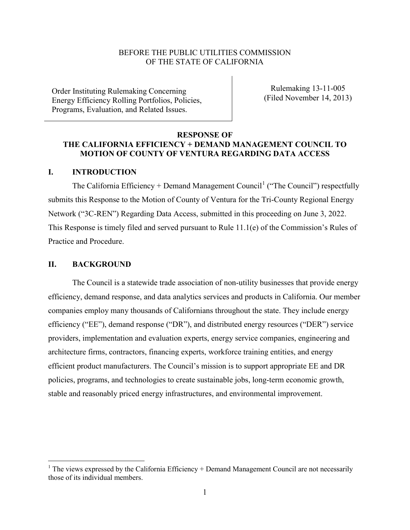## BEFORE THE PUBLIC UTILITIES COMMISSION OF THE STATE OF CALIFORNIA

Order Instituting Rulemaking Concerning Energy Efficiency Rolling Portfolios, Policies, Programs, Evaluation, and Related Issues.

Rulemaking 13-11-005 (Filed November 14, 2013)

#### **RESPONSE OF**

### **THE CALIFORNIA EFFICIENCY + DEMAND MANAGEMENT COUNCIL TO MOTION OF COUNTY OF VENTURA REGARDING DATA ACCESS**

#### **I. INTRODUCTION**

The California Efficiency + Demand Management Council<sup>[1](#page-0-0)</sup> ("The Council") respectfully submits this Response to the Motion of County of Ventura for the Tri-County Regional Energy Network ("3C-REN") Regarding Data Access, submitted in this proceeding on June 3, 2022. This Response is timely filed and served pursuant to Rule 11.1(e) of the Commission's Rules of Practice and Procedure.

#### **II. BACKGROUND**

The Council is a statewide trade association of non-utility businesses that provide energy efficiency, demand response, and data analytics services and products in California. Our member companies employ many thousands of Californians throughout the state. They include energy efficiency ("EE"), demand response ("DR"), and distributed energy resources ("DER") service providers, implementation and evaluation experts, energy service companies, engineering and architecture firms, contractors, financing experts, workforce training entities, and energy efficient product manufacturers. The Council's mission is to support appropriate EE and DR policies, programs, and technologies to create sustainable jobs, long-term economic growth, stable and reasonably priced energy infrastructures, and environmental improvement.

<sup>&</sup>lt;sup>1</sup> The views expressed by the California Efficiency + Demand Management Council are not necessarily those of its individual members.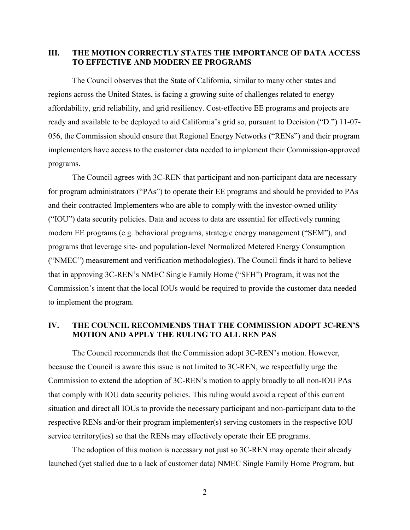### **III. THE MOTION CORRECTLY STATES THE IMPORTANCE OF DATA ACCESS TO EFFECTIVE AND MODERN EE PROGRAMS**

The Council observes that the State of California, similar to many other states and regions across the United States, is facing a growing suite of challenges related to energy affordability, grid reliability, and grid resiliency. Cost-effective EE programs and projects are ready and available to be deployed to aid California's grid so, pursuant to Decision ("D.") 11-07- 056, the Commission should ensure that Regional Energy Networks ("RENs") and their program implementers have access to the customer data needed to implement their Commission-approved programs.

The Council agrees with 3C-REN that participant and non-participant data are necessary for program administrators ("PAs") to operate their EE programs and should be provided to PAs and their contracted Implementers who are able to comply with the investor-owned utility ("IOU") data security policies. Data and access to data are essential for effectively running modern EE programs (e.g. behavioral programs, strategic energy management ("SEM"), and programs that leverage site- and population-level Normalized Metered Energy Consumption ("NMEC") measurement and verification methodologies). The Council finds it hard to believe that in approving 3C-REN's NMEC Single Family Home ("SFH") Program, it was not the Commission's intent that the local IOUs would be required to provide the customer data needed to implement the program.

## **IV. THE COUNCIL RECOMMENDS THAT THE COMMISSION ADOPT 3C-REN'S MOTION AND APPLY THE RULING TO ALL REN PAS**

The Council recommends that the Commission adopt 3C-REN's motion. However, because the Council is aware this issue is not limited to 3C-REN, we respectfully urge the Commission to extend the adoption of 3C-REN's motion to apply broadly to all non-IOU PAs that comply with IOU data security policies. This ruling would avoid a repeat of this current situation and direct all IOUs to provide the necessary participant and non-participant data to the respective RENs and/or their program implementer(s) serving customers in the respective IOU service territory(ies) so that the RENs may effectively operate their EE programs.

The adoption of this motion is necessary not just so 3C-REN may operate their already launched (yet stalled due to a lack of customer data) NMEC Single Family Home Program, but

2